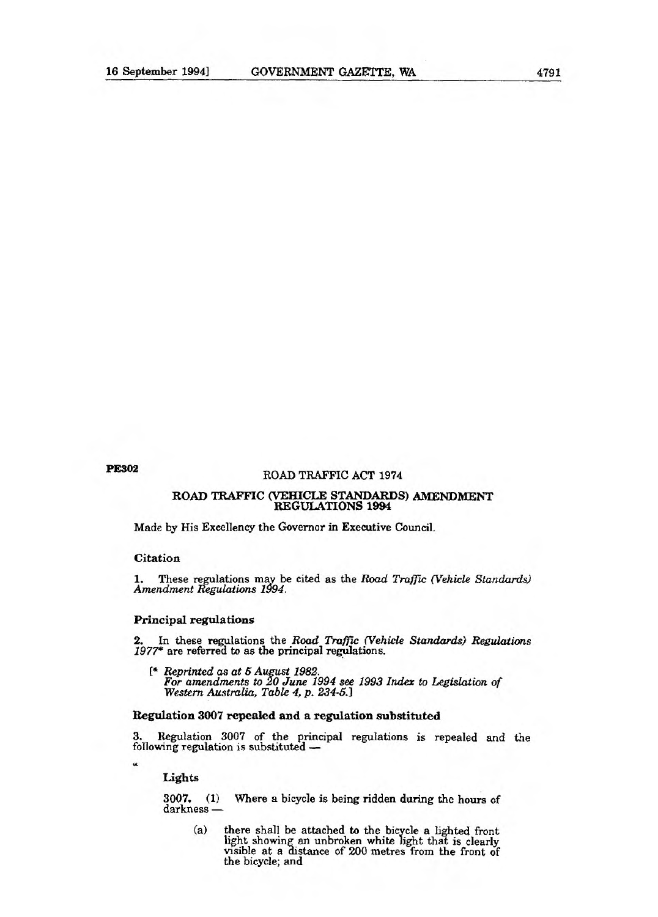# **PE302** ROAD TRAFFIC ACT 1974

#### ROAD TRAFFIC (VEHICLE STANDARDS) AMENDMENT REGULATIONS 1994

Made by His Excellency the Governor in Executive Council.

## Citation

1. These regulations may be cited as the Road *Traffic (Vehicle Standards) Amendment Regulations 1994.* 

### **Principal regulations**

2. In these regulations the *Road Traffic (Vehicle Standards) Regulations 1977\** are referred to as the principal regulations.

*[\* Reprinted as at 5 August 1982. For amendments to 20 June 1994 see 1993 Index to Legislation of Western Australia, Table 4, p. 234-5.]* 

## **Regulation 3007 repealed and a regulation substituted**

3. Regulation 3007 of the principal regulations is repealed and the following regulation is substituted —

**Lights** 

 $\epsilon$ 

**3007. (1)** Where a bicycle is being ridden during the hours of darkness —

(a) there shall be attached to the bicycle a lighted front light showing an unbroken white light that is clearly visible at a distance of 200 metres from the front of the bicycle; and